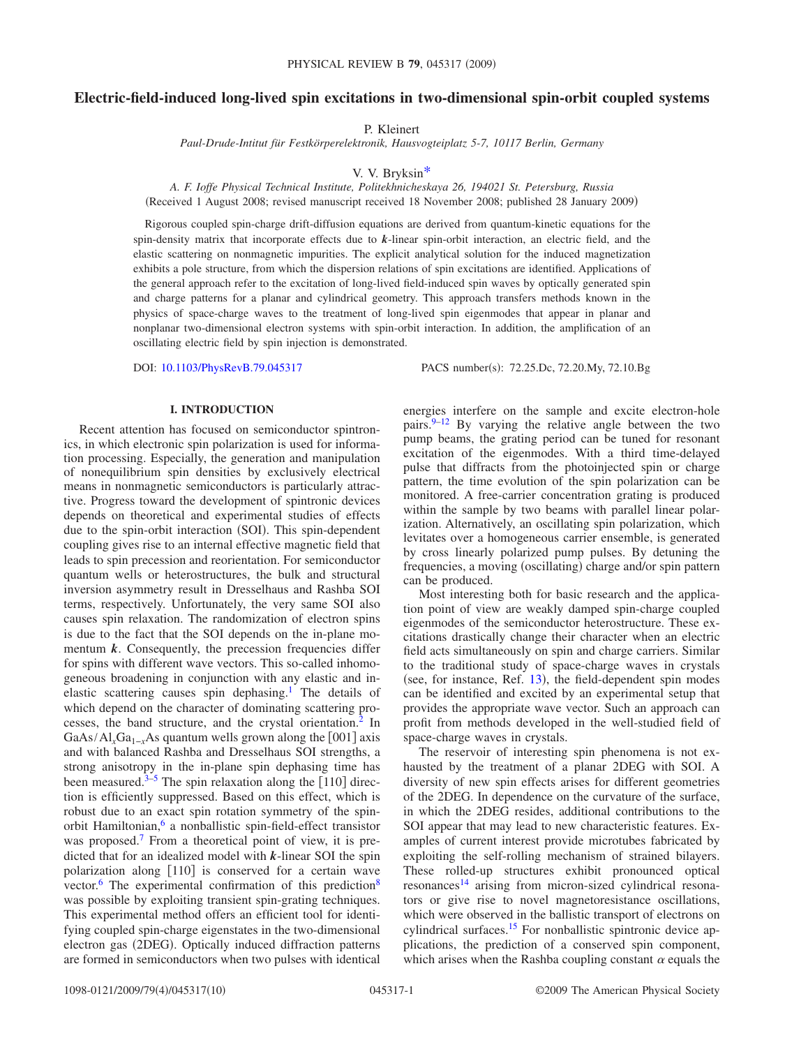# **Electric-field-induced long-lived spin excitations in two-dimensional spin-orbit coupled systems**

P. Kleinert

*Paul-Drude-Intitut für Festkörperelektronik, Hausvogteiplatz 5-7, 10117 Berlin, Germany*

### V. V. Bryksi[n\\*](#page-9-0)

*A. F. Ioffe Physical Technical Institute, Politekhnicheskaya 26, 194021 St. Petersburg, Russia* Received 1 August 2008; revised manuscript received 18 November 2008; published 28 January 2009-

Rigorous coupled spin-charge drift-diffusion equations are derived from quantum-kinetic equations for the spin-density matrix that incorporate effects due to *k*-linear spin-orbit interaction, an electric field, and the elastic scattering on nonmagnetic impurities. The explicit analytical solution for the induced magnetization exhibits a pole structure, from which the dispersion relations of spin excitations are identified. Applications of the general approach refer to the excitation of long-lived field-induced spin waves by optically generated spin and charge patterns for a planar and cylindrical geometry. This approach transfers methods known in the physics of space-charge waves to the treatment of long-lived spin eigenmodes that appear in planar and nonplanar two-dimensional electron systems with spin-orbit interaction. In addition, the amplification of an oscillating electric field by spin injection is demonstrated.

DOI: [10.1103/PhysRevB.79.045317](http://dx.doi.org/10.1103/PhysRevB.79.045317)

PACS number(s): 72.25.Dc, 72.20.My, 72.10.Bg

### **I. INTRODUCTION**

Recent attention has focused on semiconductor spintronics, in which electronic spin polarization is used for information processing. Especially, the generation and manipulation of nonequilibrium spin densities by exclusively electrical means in nonmagnetic semiconductors is particularly attractive. Progress toward the development of spintronic devices depends on theoretical and experimental studies of effects due to the spin-orbit interaction (SOI). This spin-dependent coupling gives rise to an internal effective magnetic field that leads to spin precession and reorientation. For semiconductor quantum wells or heterostructures, the bulk and structural inversion asymmetry result in Dresselhaus and Rashba SOI terms, respectively. Unfortunately, the very same SOI also causes spin relaxation. The randomization of electron spins is due to the fact that the SOI depends on the in-plane momentum  $k$ . Consequently, the precession frequencies differ for spins with different wave vectors. This so-called inhomogeneous broadening in conjunction with any elastic and inelastic scattering causes spin dephasing[.1](#page-9-1) The details of which depend on the character of dominating scattering processes, the band structure, and the crystal orientation[.2](#page-9-2) In GaAs/Al<sub>x</sub>Ga<sub>1-*x*</sub>As quantum wells grown along the [001] axis and with balanced Rashba and Dresselhaus SOI strengths, a strong anisotropy in the in-plane spin dephasing time has been measured. $3-5$  $3-5$  The spin relaxation along the [110] direction is efficiently suppressed. Based on this effect, which is robust due to an exact spin rotation symmetry of the spinorbit Hamiltonian,<sup>6</sup> a nonballistic spin-field-effect transistor was proposed.<sup>7</sup> From a theoretical point of view, it is predicted that for an idealized model with *k*-linear SOI the spin polarization along  $[110]$  is conserved for a certain wave vector.<sup>6</sup> The experimental confirmation of this prediction<sup>8</sup> was possible by exploiting transient spin-grating techniques. This experimental method offers an efficient tool for identifying coupled spin-charge eigenstates in the two-dimensional electron gas (2DEG). Optically induced diffraction patterns are formed in semiconductors when two pulses with identical

energies interfere on the sample and excite electron-hole pairs. $9-12$  By varying the relative angle between the two pump beams, the grating period can be tuned for resonant excitation of the eigenmodes. With a third time-delayed pulse that diffracts from the photoinjected spin or charge pattern, the time evolution of the spin polarization can be monitored. A free-carrier concentration grating is produced within the sample by two beams with parallel linear polarization. Alternatively, an oscillating spin polarization, which levitates over a homogeneous carrier ensemble, is generated by cross linearly polarized pump pulses. By detuning the frequencies, a moving (oscillating) charge and/or spin pattern can be produced.

Most interesting both for basic research and the application point of view are weakly damped spin-charge coupled eigenmodes of the semiconductor heterostructure. These excitations drastically change their character when an electric field acts simultaneously on spin and charge carriers. Similar to the traditional study of space-charge waves in crystals (see, for instance, Ref.  $13$ ), the field-dependent spin modes can be identified and excited by an experimental setup that provides the appropriate wave vector. Such an approach can profit from methods developed in the well-studied field of space-charge waves in crystals.

The reservoir of interesting spin phenomena is not exhausted by the treatment of a planar 2DEG with SOI. A diversity of new spin effects arises for different geometries of the 2DEG. In dependence on the curvature of the surface, in which the 2DEG resides, additional contributions to the SOI appear that may lead to new characteristic features. Examples of current interest provide microtubes fabricated by exploiting the self-rolling mechanism of strained bilayers. These rolled-up structures exhibit pronounced optical resonances<sup>14</sup> arising from micron-sized cylindrical resonators or give rise to novel magnetoresistance oscillations, which were observed in the ballistic transport of electrons on cylindrical surfaces.<sup>15</sup> For nonballistic spintronic device applications, the prediction of a conserved spin component, which arises when the Rashba coupling constant  $\alpha$  equals the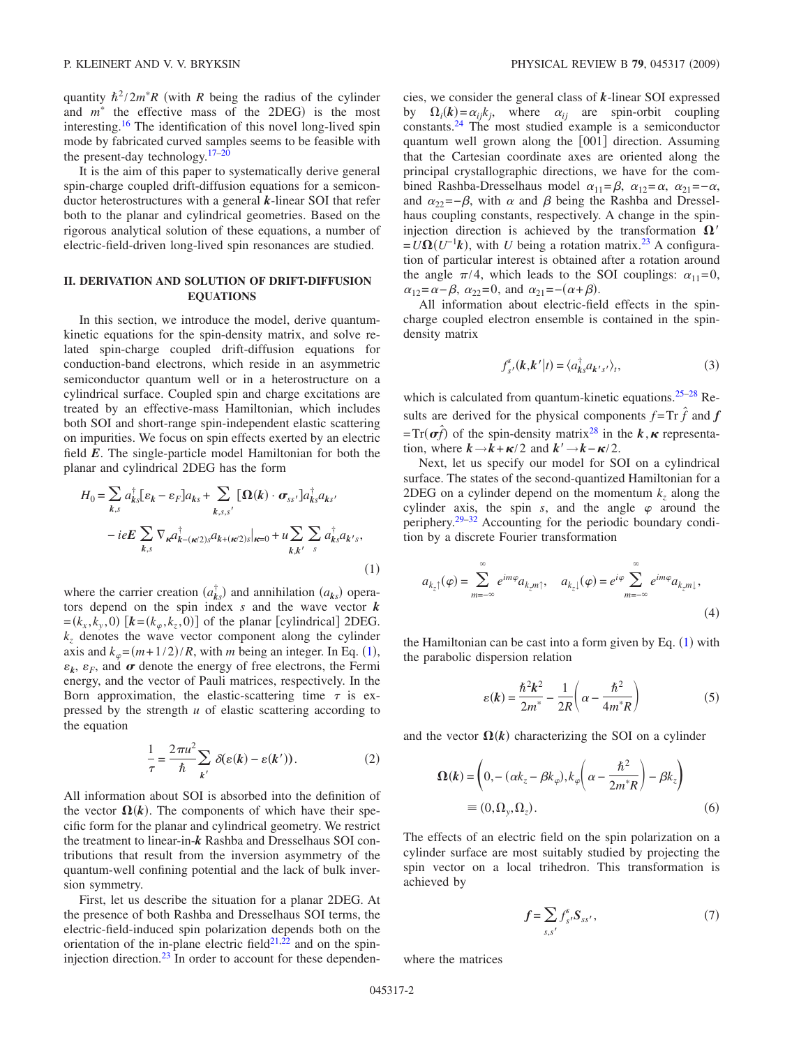quantity  $\hbar^2/2m^*R$  (with *R* being the radius of the cylinder and  $m^*$  the effective mass of the 2DEG) is the most interesting[.16](#page-9-13) The identification of this novel long-lived spin mode by fabricated curved samples seems to be feasible with the present-day technology. $17-20$  $17-20$ 

It is the aim of this paper to systematically derive general spin-charge coupled drift-diffusion equations for a semiconductor heterostructures with a general *k*-linear SOI that refer both to the planar and cylindrical geometries. Based on the rigorous analytical solution of these equations, a number of electric-field-driven long-lived spin resonances are studied.

# **II. DERIVATION AND SOLUTION OF DRIFT-DIFFUSION EQUATIONS**

<span id="page-1-1"></span>In this section, we introduce the model, derive quantumkinetic equations for the spin-density matrix, and solve related spin-charge coupled drift-diffusion equations for conduction-band electrons, which reside in an asymmetric semiconductor quantum well or in a heterostructure on a cylindrical surface. Coupled spin and charge excitations are treated by an effective-mass Hamiltonian, which includes both SOI and short-range spin-independent elastic scattering on impurities. We focus on spin effects exerted by an electric field *E*. The single-particle model Hamiltonian for both the planar and cylindrical 2DEG has the form

<span id="page-1-0"></span>
$$
H_0 = \sum_{k,s} a_{ks}^\dagger [\varepsilon_k - \varepsilon_F] a_{ks} + \sum_{k,s,s'} [\Omega(k) \cdot \sigma_{ss'}] a_{ks}^\dagger a_{ks'} - i e E \sum_{k,s} \nabla_{\kappa} a_{k-(\kappa/2)s}^\dagger a_{k+(\kappa/2)s} |_{\kappa=0} + u \sum_{k,k'} \sum_s a_{ks}^\dagger a_{k's},
$$
\n(1)

where the carrier creation  $(a_{ks}^{\dagger})$  and annihilation  $(a_{ks})$  operators depend on the spin index *s* and the wave vector *k*  $=(k_x, k_y, 0)$   $[k=(k_\varphi, k_z, 0)]$  of the planar [cylindrical] 2DEG.  $k_z$  denotes the wave vector component along the cylinder axis and  $k_{\varphi} = (m + 1/2) / R$  $k_{\varphi} = (m + 1/2) / R$  $k_{\varphi} = (m + 1/2) / R$ , with *m* being an integer. In Eq. (1),  $\varepsilon_k$ ,  $\varepsilon_F$ , and  $\sigma$  denote the energy of free electrons, the Fermi energy, and the vector of Pauli matrices, respectively. In the Born approximation, the elastic-scattering time  $\tau$  is expressed by the strength *u* of elastic scattering according to the equation

$$
\frac{1}{\tau} = \frac{2\pi u^2}{\hbar} \sum_{k'} \delta(\varepsilon(k) - \varepsilon(k')).
$$
 (2)

All information about SOI is absorbed into the definition of the vector  $\Omega(k)$ . The components of which have their specific form for the planar and cylindrical geometry. We restrict the treatment to linear-in-*k* Rashba and Dresselhaus SOI contributions that result from the inversion asymmetry of the quantum-well confining potential and the lack of bulk inversion symmetry.

First, let us describe the situation for a planar 2DEG. At the presence of both Rashba and Dresselhaus SOI terms, the electric-field-induced spin polarization depends both on the orientation of the in-plane electric field $2^{1,22}$  $2^{1,22}$  $2^{1,22}$  and on the spininjection direction. $^{23}$  In order to account for these dependencies, we consider the general class of *k*-linear SOI expressed by  $\Omega_i(k) = \alpha_{ij} k_j$ , where  $\alpha_{ij}$  are spin-orbit coupling constants[.24](#page-9-19) The most studied example is a semiconductor quantum well grown along the  $[001]$  direction. Assuming that the Cartesian coordinate axes are oriented along the principal crystallographic directions, we have for the combined Rashba-Dresselhaus model  $\alpha_{11} = \beta$ ,  $\alpha_{12} = \alpha$ ,  $\alpha_{21} = -\alpha$ , and  $\alpha_{22}=-\beta$ , with  $\alpha$  and  $\beta$  being the Rashba and Dresselhaus coupling constants, respectively. A change in the spininjection direction is achieved by the transformation  $\Omega'$  $=U\Omega(U^{-1}k)$ , with *U* being a rotation matrix.<sup>23</sup> A configuration of particular interest is obtained after a rotation around the angle  $\pi/4$ , which leads to the SOI couplings:  $\alpha_{11}=0$ ,  $\alpha_{12}=\alpha-\beta$ ,  $\alpha_{22}=0$ , and  $\alpha_{21}=-(\alpha+\beta)$ .

All information about electric-field effects in the spincharge coupled electron ensemble is contained in the spindensity matrix

$$
f_{s'}^s(\mathbf{k}, \mathbf{k'}|t) = \langle a_{\mathbf{k}s}^{\dagger} a_{\mathbf{k'}s'} \rangle_t,
$$
 (3)

which is calculated from quantum-kinetic equations.<sup>25–[28](#page-9-21)</sup> Results are derived for the physical components  $f = Tr \hat{f}$  and  $f$  $=Tr(\boldsymbol{\sigma}\hat{f})$  of the spin-density matrix<sup>28</sup> in the  $k, \kappa$  representation, where  $k \rightarrow k + \kappa/2$  and  $k' \rightarrow k - \kappa/2$ .

Next, let us specify our model for SOI on a cylindrical surface. The states of the second-quantized Hamiltonian for a 2DEG on a cylinder depend on the momentum  $k_z$  along the cylinder axis, the spin *s*, and the angle  $\varphi$  around the periphery[.29](#page-9-22)[–32](#page-9-23) Accounting for the periodic boundary condition by a discrete Fourier transformation

$$
a_{k_z\uparrow}(\varphi) = \sum_{m=-\infty}^{\infty} e^{im\varphi} a_{k_z m\uparrow}, \quad a_{k_z\downarrow}(\varphi) = e^{i\varphi} \sum_{m=-\infty}^{\infty} e^{im\varphi} a_{k_z m\downarrow},
$$
\n(4)

the Hamiltonian can be cast into a form given by Eq.  $(1)$  $(1)$  $(1)$  with the parabolic dispersion relation

$$
\varepsilon(k) = \frac{\hbar^2 k^2}{2m^*} - \frac{1}{2R} \left( \alpha - \frac{\hbar^2}{4m^* R} \right) \tag{5}
$$

and the vector  $\Omega(k)$  characterizing the SOI on a cylinder

$$
\Omega(k) = \left(0, -(\alpha k_z - \beta k_\varphi), k_\varphi \left(\alpha - \frac{\hbar^2}{2m^*R}\right) - \beta k_z\right)
$$
  
=  $(0, \Omega_y, \Omega_z)$ . (6)

The effects of an electric field on the spin polarization on a cylinder surface are most suitably studied by projecting the spin vector on a local trihedron. This transformation is achieved by

$$
f = \sum_{s,s'} f_{s'}^s S_{ss'},\tag{7}
$$

where the matrices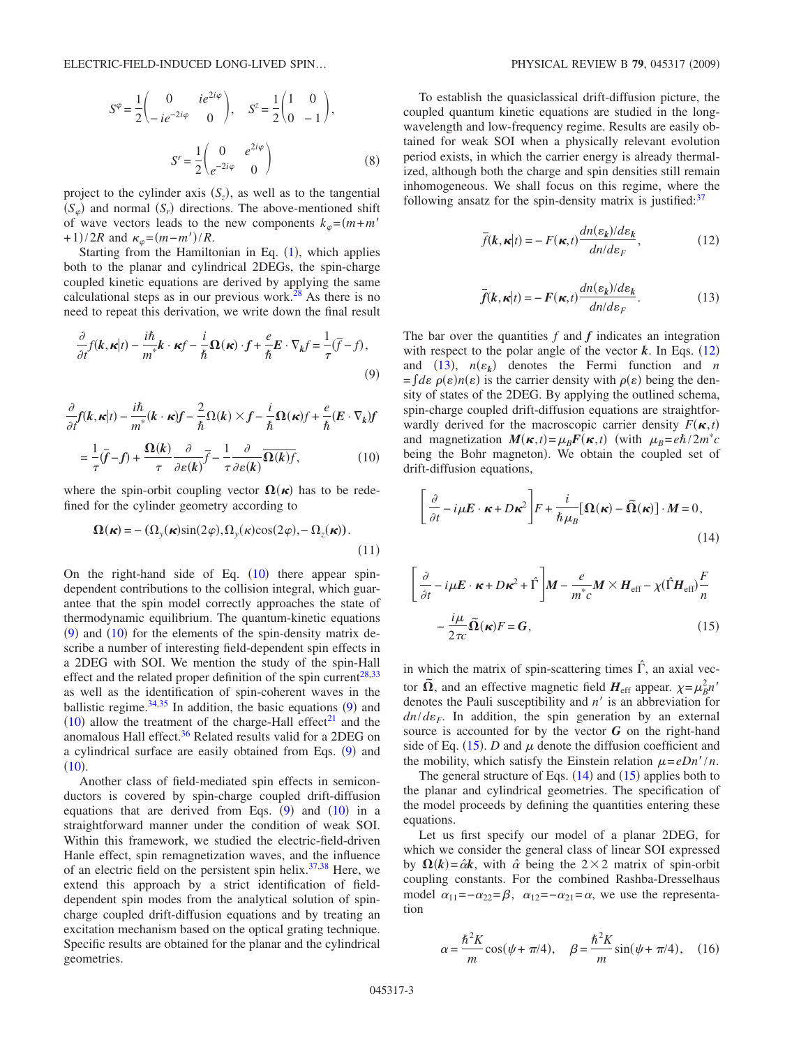$$
S^{\varphi} = \frac{1}{2} \begin{pmatrix} 0 & ie^{2i\varphi} \\ -ie^{-2i\varphi} & 0 \end{pmatrix}, \quad S^{z} = \frac{1}{2} \begin{pmatrix} 1 & 0 \\ 0 & -1 \end{pmatrix},
$$

$$
S^{r} = \frac{1}{2} \begin{pmatrix} 0 & e^{2i\varphi} \\ e^{-2i\varphi} & 0 \end{pmatrix}
$$
(8)

project to the cylinder axis  $(S_z)$ , as well as to the tangential  $(S_{\varphi})$  and normal  $(S_r)$  directions. The above-mentioned shift of wave vectors leads to the new components  $k_{\varphi} = (m+m)$  $+(1)/2R$  and  $\kappa_{\varphi} = (m - m')/R$ .

Starting from the Hamiltonian in Eq.  $(1)$  $(1)$  $(1)$ , which applies both to the planar and cylindrical 2DEGs, the spin-charge coupled kinetic equations are derived by applying the same calculational steps as in our previous work.<sup>28</sup> As there is no need to repeat this derivation, we write down the final result

<span id="page-2-1"></span>
$$
\frac{\partial}{\partial t}f(\mathbf{k}, \mathbf{\kappa}|t) - \frac{i\hbar}{m^*}\mathbf{k} \cdot \mathbf{\kappa}f - \frac{i}{\hbar}\Omega(\mathbf{\kappa}) \cdot f + \frac{e}{\hbar}E \cdot \nabla_k f = \frac{1}{\tau}(\bar{f} - f),\tag{9}
$$

<span id="page-2-0"></span>
$$
\frac{\partial}{\partial t} f(k, \kappa | t) - \frac{i\hbar}{m^*} (k \cdot \kappa) f - \frac{2}{\hbar} \Omega(k) \times f - \frac{i}{\hbar} \Omega(\kappa) f + \frac{e}{\hbar} (E \cdot \nabla_k) f
$$

$$
= \frac{1}{\tau} (\bar{f} - f) + \frac{\Omega(k)}{\tau} \frac{\partial}{\partial \varepsilon(k)} \bar{f} - \frac{1}{\tau} \frac{\partial}{\partial \varepsilon(k)} \overline{\Omega(k)} f, \tag{10}
$$

where the spin-orbit coupling vector  $\Omega(\kappa)$  has to be redefined for the cylinder geometry according to

$$
\mathbf{\Omega}(\mathbf{\kappa}) = -(\Omega_{y}(\mathbf{\kappa})\sin(2\varphi), \Omega_{y}(\mathbf{\kappa})\cos(2\varphi), -\Omega_{z}(\mathbf{\kappa})).
$$
\n(11)

On the right-hand side of Eq.  $(10)$  $(10)$  $(10)$  there appear spindependent contributions to the collision integral, which guarantee that the spin model correctly approaches the state of thermodynamic equilibrium. The quantum-kinetic equations  $(9)$  $(9)$  $(9)$  and  $(10)$  $(10)$  $(10)$  for the elements of the spin-density matrix describe a number of interesting field-dependent spin effects in a 2DEG with SOI. We mention the study of the spin-Hall effect and the related proper definition of the spin current<sup>28[,33](#page-9-24)</sup> as well as the identification of spin-coherent waves in the ballistic regime. $34,35$  $34,35$  In addition, the basic equations ([9](#page-2-1)) and  $(10)$  $(10)$  $(10)$  allow the treatment of the charge-Hall effect<sup>21</sup> and the anomalous Hall effect.<sup>36</sup> Related results valid for a 2DEG on a cylindrical surface are easily obtained from Eqs. ([9](#page-2-1)) and  $(10).$  $(10).$  $(10).$ 

Another class of field-mediated spin effects in semiconductors is covered by spin-charge coupled drift-diffusion equations that are derived from Eqs.  $(9)$  $(9)$  $(9)$  and  $(10)$  $(10)$  $(10)$  in a straightforward manner under the condition of weak SOI. Within this framework, we studied the electric-field-driven Hanle effect, spin remagnetization waves, and the influence of an electric field on the persistent spin helix. $37,38$  $37,38$  Here, we extend this approach by a strict identification of fielddependent spin modes from the analytical solution of spincharge coupled drift-diffusion equations and by treating an excitation mechanism based on the optical grating technique. Specific results are obtained for the planar and the cylindrical geometries.

To establish the quasiclassical drift-diffusion picture, the coupled quantum kinetic equations are studied in the longwavelength and low-frequency regime. Results are easily obtained for weak SOI when a physically relevant evolution period exists, in which the carrier energy is already thermalized, although both the charge and spin densities still remain inhomogeneous. We shall focus on this regime, where the following ansatz for the spin-density matrix is justified: $37$ 

<span id="page-2-2"></span>
$$
\overline{f}(\mathbf{k}, \mathbf{\kappa}|t) = -F(\mathbf{\kappa}, t) \frac{dn(\varepsilon_k)/d\varepsilon_k}{dn/d\varepsilon_F},
$$
\n(12)

$$
\bar{f}(\mathbf{k}, \mathbf{\kappa}|t) = -F(\mathbf{\kappa}, t) \frac{dn(\varepsilon_k)/d\varepsilon_k}{dn/d\varepsilon_F}.
$$
 (13)

<span id="page-2-3"></span>The bar over the quantities *f* and *f* indicates an integration with respect to the polar angle of the vector  $k$ . In Eqs.  $(12)$  $(12)$  $(12)$ and  $(13)$  $(13)$  $(13)$ ,  $n(\varepsilon_k)$  denotes the Fermi function and *n*  $=f d\varepsilon \rho(\varepsilon) n(\varepsilon)$  is the carrier density with  $\rho(\varepsilon)$  being the density of states of the 2DEG. By applying the outlined schema, spin-charge coupled drift-diffusion equations are straightforwardly derived for the macroscopic carrier density  $F(\mathbf{x},t)$ and magnetization  $M(\kappa, t) = \mu_B F(\kappa, t)$  (with  $\mu_B = e\hbar/2m^*c$ being the Bohr magneton). We obtain the coupled set of drift-diffusion equations,

$$
\left[\frac{\partial}{\partial t} - i\mu \mathbf{E} \cdot \mathbf{\kappa} + D\mathbf{\kappa}^2\right] F + \frac{i}{\hbar \mu_B} [\mathbf{\Omega}(\mathbf{\kappa}) - \tilde{\mathbf{\Omega}}(\mathbf{\kappa})] \cdot M = 0,
$$
\n(14)

<span id="page-2-4"></span>
$$
\left[\frac{\partial}{\partial t} - i\mu \mathbf{E} \cdot \mathbf{\kappa} + D\mathbf{\kappa}^2 + \hat{\Gamma}\right] \mathbf{M} - \frac{e}{m^*c} \mathbf{M} \times \mathbf{H}_{\text{eff}} - \chi(\hat{\Gamma}\mathbf{H}_{\text{eff}}) \frac{F}{n}
$$

$$
-\frac{i\mu}{2\pi c} \tilde{\mathbf{\Omega}}(\mathbf{\kappa}) F = \mathbf{G},\qquad(15)
$$

in which the matrix of spin-scattering times  $\hat{\Gamma}$ , an axial vector  $\tilde{\Omega}$ , and an effective magnetic field  $H_{\text{eff}}$  appear.  $\chi = \mu_B^2 n^2$ denotes the Pauli susceptibility and *n'* is an abbreviation for  $dn/d\varepsilon_F$ . In addition, the spin generation by an external source is accounted for by the vector  $G$  on the right-hand side of Eq.  $(15)$  $(15)$  $(15)$ . *D* and  $\mu$  denote the diffusion coefficient and the mobility, which satisfy the Einstein relation  $\mu = eDn'/n$ .

The general structure of Eqs.  $(14)$  $(14)$  $(14)$  and  $(15)$  $(15)$  $(15)$  applies both to the planar and cylindrical geometries. The specification of the model proceeds by defining the quantities entering these equations.

Let us first specify our model of a planar 2DEG, for which we consider the general class of linear SOI expressed by  $\Omega(k) = \hat{\alpha}k$ , with  $\hat{\alpha}$  being the 2 × 2 matrix of spin-orbit coupling constants. For the combined Rashba-Dresselhaus model  $\alpha_{11}=-\alpha_{22}=\beta$ ,  $\alpha_{12}=-\alpha_{21}=\alpha$ , we use the representation

$$
\alpha = \frac{\hbar^2 K}{m} \cos(\psi + \pi/4), \quad \beta = \frac{\hbar^2 K}{m} \sin(\psi + \pi/4), \quad (16)
$$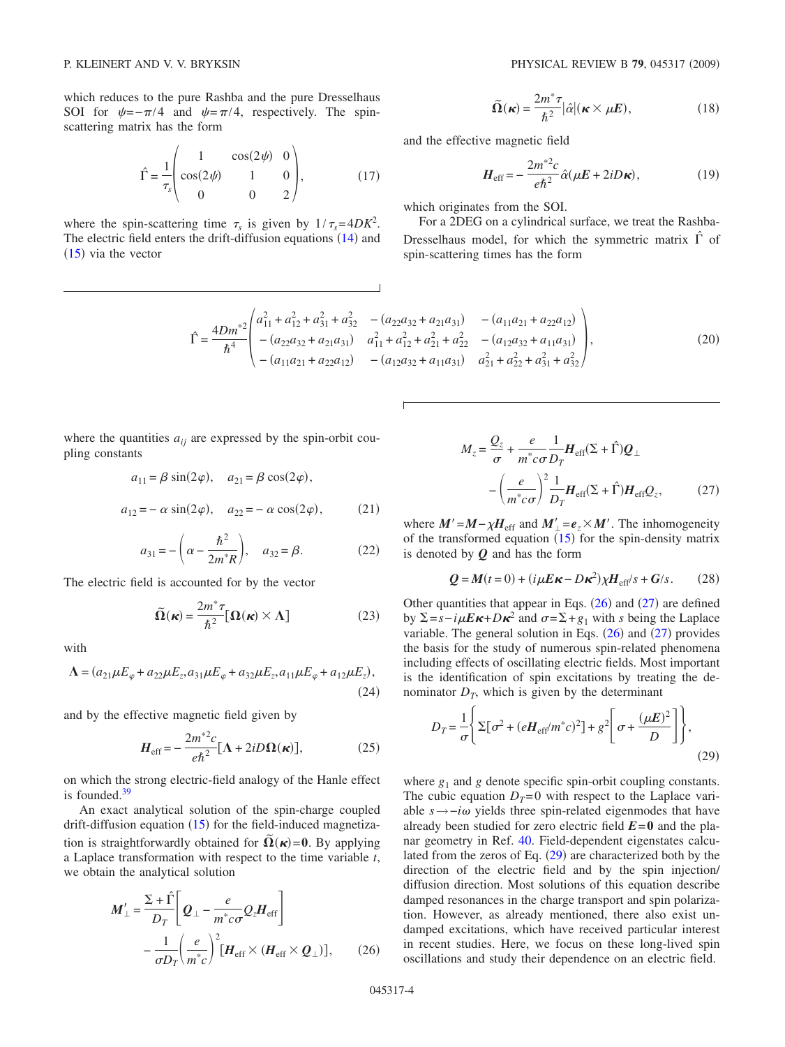which reduces to the pure Rashba and the pure Dresselhaus SOI for  $\psi = -\pi/4$  and  $\psi = \pi/4$ , respectively. The spinscattering matrix has the form

$$
\hat{\Gamma} = \frac{1}{\tau_s} \begin{pmatrix} 1 & \cos(2\psi) & 0 \\ \cos(2\psi) & 1 & 0 \\ 0 & 0 & 2 \end{pmatrix},
$$
(17)

where the spin-scattering time  $\tau_s$  is given by  $1/\tau_s = 4DK^2$ . The electric field enters the drift-diffusion equations  $(14)$  $(14)$  $(14)$  and  $(15)$  $(15)$  $(15)$  via the vector

$$
\widetilde{\Omega}(\kappa) = \frac{2m^*\tau}{\hbar^2} |\hat{\alpha}| (\kappa \times \mu E), \tag{18}
$$

and the effective magnetic field

$$
H_{\text{eff}} = -\frac{2m^{*2}c}{e\hbar^2}\hat{\alpha}(\mu E + 2iD\kappa),\qquad(19)
$$

which originates from the SOI.

For a 2DEG on a cylindrical surface, we treat the Rashba-Dresselhaus model, for which the symmetric matrix *ˆ* of spin-scattering times has the form

$$
\hat{\Gamma} = \frac{4Dm^{*2}}{\hbar^4} \begin{pmatrix} a_{11}^2 + a_{12}^2 + a_{31}^2 + a_{32}^2 & -\left(a_{22}a_{32} + a_{21}a_{31}\right) & -\left(a_{11}a_{21} + a_{22}a_{12}\right) \\ -\left(a_{22}a_{32} + a_{21}a_{31}\right) & a_{11}^2 + a_{12}^2 + a_{21}^2 + a_{22}^2 & -\left(a_{12}a_{32} + a_{11}a_{31}\right) \\ -\left(a_{11}a_{21} + a_{22}a_{12}\right) & -\left(a_{12}a_{32} + a_{11}a_{31}\right) & a_{21}^2 + a_{22}^2 + a_{31}^2 + a_{32}^2 \end{pmatrix},\tag{20}
$$

where the quantities  $a_{ij}$  are expressed by the spin-orbit coupling constants

$$
a_{11} = \beta \sin(2\varphi), \quad a_{21} = \beta \cos(2\varphi),
$$

$$
a_{12} = -\alpha \sin(2\varphi), \quad a_{22} = -\alpha \cos(2\varphi),
$$
 (21)

$$
a_{31} = -\left(\alpha - \frac{\hbar^2}{2m^*R}\right), \quad a_{32} = \beta.
$$
 (22)

The electric field is accounted for by the vector

$$
\widetilde{\Omega}(\kappa) = \frac{2m^* \tau}{\hbar^2} [\Omega(\kappa) \times \Lambda]
$$
 (23)

with

$$
\Lambda = (a_{21}\mu E_{\varphi} + a_{22}\mu E_{z}, a_{31}\mu E_{\varphi} + a_{32}\mu E_{z}, a_{11}\mu E_{\varphi} + a_{12}\mu E_{z}),
$$
\n(24)

and by the effective magnetic field given by

$$
H_{\rm eff} = -\frac{2m^{*2}c}{e\hbar^2} [\Lambda + 2iD\Omega(\kappa)],
$$
 (25)

on which the strong electric-field analogy of the Hanle effect is founded[.39](#page-9-30)

An exact analytical solution of the spin-charge coupled drift-diffusion equation  $(15)$  $(15)$  $(15)$  for the field-induced magnetization is straightforwardly obtained for  $\tilde{\Omega}(\kappa) = 0$ . By applying a Laplace transformation with respect to the time variable *t*, we obtain the analytical solution

<span id="page-3-0"></span>
$$
\boldsymbol{M}'_{\perp} = \frac{\Sigma + \hat{\Gamma}}{D_T} \bigg[ \boldsymbol{Q}_{\perp} - \frac{e}{m^* c \sigma} \boldsymbol{Q}_z \boldsymbol{H}_{\text{eff}} \bigg] - \frac{1}{\sigma D_T} \bigg( \frac{e}{m^* c} \bigg)^2 \big[ \boldsymbol{H}_{\text{eff}} \times (\boldsymbol{H}_{\text{eff}} \times \boldsymbol{Q}_{\perp}) \big], \qquad (26)
$$

<span id="page-3-1"></span>
$$
M_{z} = \frac{Q_{z}}{\sigma} + \frac{e}{m^{*}c\sigma} \frac{1}{D_{T}} H_{\text{eff}}(\Sigma + \hat{\Gamma}) Q_{\perp}
$$

$$
- \left(\frac{e}{m^{*}c\sigma}\right)^{2} \frac{1}{D_{T}} H_{\text{eff}}(\Sigma + \hat{\Gamma}) H_{\text{eff}} Q_{z}, \qquad (27)
$$

where  $M' = M - \chi H_{\text{eff}}$  and  $M'_{\perp} = e_z \times M'$ . The inhomogeneity of the transformed equation  $(15)$  $(15)$  $(15)$  for the spin-density matrix is denoted by *Q* and has the form

$$
Q = M(t=0) + (i\mu E \kappa - D\kappa^2) \chi H_{\text{eff}}/s + G/s. \qquad (28)
$$

Other quantities that appear in Eqs.  $(26)$  $(26)$  $(26)$  and  $(27)$  $(27)$  $(27)$  are defined by  $\Sigma$ =*s*−*i* $\mu$ **E**κ+Dκ<sup>2</sup> and  $\sigma$ = $\Sigma$ +g<sub>1</sub> with *s* being the Laplace variable. The general solution in Eqs.  $(26)$  $(26)$  $(26)$  and  $(27)$  $(27)$  $(27)$  provides the basis for the study of numerous spin-related phenomena including effects of oscillating electric fields. Most important is the identification of spin excitations by treating the denominator  $D_T$ , which is given by the determinant

<span id="page-3-2"></span>
$$
D_T = \frac{1}{\sigma} \left\{ \Sigma \left[ \sigma^2 + (eH_{\text{eff}}/m^*c)^2 \right] + g^2 \left[ \sigma + \frac{(\mu E)^2}{D} \right] \right\},\tag{29}
$$

where  $g_1$  and  $g$  denote specific spin-orbit coupling constants. The cubic equation  $D_T=0$  with respect to the Laplace variable *s*→−*i* yields three spin-related eigenmodes that have already been studied for zero electric field  $E=0$  and the planar geometry in Ref. [40.](#page-9-31) Field-dependent eigenstates calculated from the zeros of Eq.  $(29)$  $(29)$  $(29)$  are characterized both by the direction of the electric field and by the spin injection/ diffusion direction. Most solutions of this equation describe damped resonances in the charge transport and spin polarization. However, as already mentioned, there also exist undamped excitations, which have received particular interest in recent studies. Here, we focus on these long-lived spin oscillations and study their dependence on an electric field.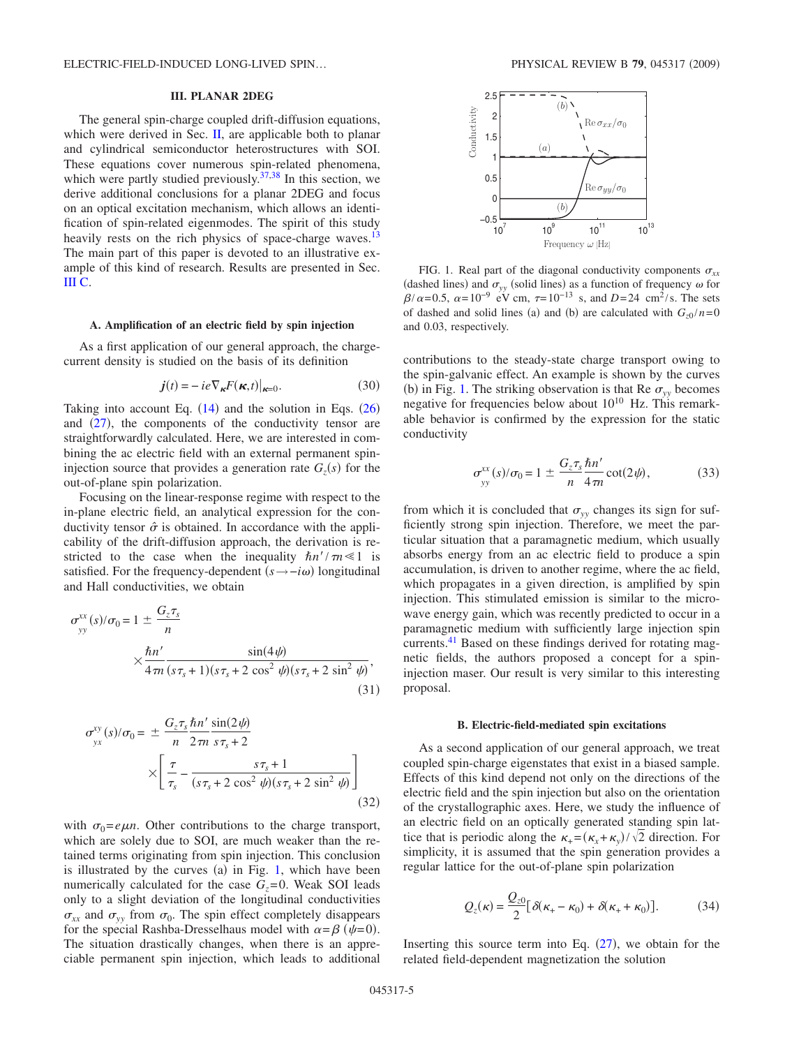### **III. PLANAR 2DEG**

The general spin-charge coupled drift-diffusion equations, which were derived in Sec. [II,](#page-1-1) are applicable both to planar and cylindrical semiconductor heterostructures with SOI. These equations cover numerous spin-related phenomena, which were partly studied previously.<sup>37[,38](#page-9-29)</sup> In this section, we derive additional conclusions for a planar 2DEG and focus on an optical excitation mechanism, which allows an identification of spin-related eigenmodes. The spirit of this study heavily rests on the rich physics of space-charge waves.<sup>13</sup> The main part of this paper is devoted to an illustrative example of this kind of research. Results are presented in Sec. [III C.](#page-5-0)

### **A. Amplification of an electric field by spin injection**

As a first application of our general approach, the chargecurrent density is studied on the basis of its definition

$$
\boldsymbol{j}(t) = -ie \nabla_{\boldsymbol{\kappa}} F(\boldsymbol{\kappa}, t)|_{\boldsymbol{\kappa} = 0}.
$$
 (30)

Taking into account Eq.  $(14)$  $(14)$  $(14)$  and the solution in Eqs.  $(26)$  $(26)$  $(26)$ and  $(27)$  $(27)$  $(27)$ , the components of the conductivity tensor are straightforwardly calculated. Here, we are interested in combining the ac electric field with an external permanent spininjection source that provides a generation rate  $G_z(s)$  for the out-of-plane spin polarization.

Focusing on the linear-response regime with respect to the in-plane electric field, an analytical expression for the conductivity tensor  $\hat{\sigma}$  is obtained. In accordance with the applicability of the drift-diffusion approach, the derivation is restricted to the case when the inequality  $\hbar n'/\tau n \ll 1$  is satisfied. For the frequency-dependent  $(s \rightarrow -i\omega)$  longitudinal and Hall conductivities, we obtain

$$
\sigma_{yy}^{xx}(s)/\sigma_0 = 1 \pm \frac{G_z \tau_s}{n}
$$

$$
\times \frac{\hbar n'}{4\pi n} \frac{\sin(4\psi)}{(s\tau_s + 1)(s\tau_s + 2\cos^2\psi)(s\tau_s + 2\sin^2\psi)},
$$
(31)

$$
\sigma_{yx}^{xy}(s)/\sigma_0 = \pm \frac{G_z \tau_s \hbar n'}{n} \frac{\sin(2\psi)}{s\tau_s + 2}
$$

$$
\times \left[ \frac{\tau}{\tau_s} - \frac{s\tau_s + 1}{(s\tau_s + 2\cos^2\psi)(s\tau_s + 2\sin^2\psi)} \right]
$$
(32)

with  $\sigma_0 = e\mu n$ . Other contributions to the charge transport, which are solely due to SOI, are much weaker than the retained terms originating from spin injection. This conclusion is illustrated by the curves  $(a)$  in Fig. [1,](#page-4-0) which have been numerically calculated for the case  $G_z = 0$ . Weak SOI leads only to a slight deviation of the longitudinal conductivities  $\sigma_{xx}$  and  $\sigma_{yy}$  from  $\sigma_0$ . The spin effect completely disappears for the special Rashba-Dresselhaus model with  $\alpha = \beta$  ( $\psi = 0$ ). The situation drastically changes, when there is an appreciable permanent spin injection, which leads to additional

<span id="page-4-0"></span>

FIG. 1. Real part of the diagonal conductivity components  $\sigma_{xx}$ (dashed lines) and  $\sigma_{yy}$  (solid lines) as a function of frequency  $\omega$  for  $\beta/\alpha = 0.5$ ,  $\alpha = 10^{-9}$  eV cm,  $\tau = 10^{-13}$  s, and  $D = 24$  cm<sup>2</sup>/s. The sets of dashed and solid lines (a) and (b) are calculated with  $G_{z0} / n = 0$ and 0.03, respectively.

contributions to the steady-state charge transport owing to the spin-galvanic effect. An example is shown by the curves (b) in Fig. [1.](#page-4-0) The striking observation is that Re  $\sigma_{yy}$  becomes negative for frequencies below about  $10^{10}$  Hz. This remarkable behavior is confirmed by the expression for the static conductivity

$$
\sigma_{yy}^{xx}(s)/\sigma_0 = 1 \pm \frac{G_z \tau_s}{n} \frac{\hbar n'}{4 \pi n} \cot(2\psi), \tag{33}
$$

from which it is concluded that  $\sigma_{yy}$  changes its sign for sufficiently strong spin injection. Therefore, we meet the particular situation that a paramagnetic medium, which usually absorbs energy from an ac electric field to produce a spin accumulation, is driven to another regime, where the ac field, which propagates in a given direction, is amplified by spin injection. This stimulated emission is similar to the microwave energy gain, which was recently predicted to occur in a paramagnetic medium with sufficiently large injection spin currents[.41](#page-9-32) Based on these findings derived for rotating magnetic fields, the authors proposed a concept for a spininjection maser. Our result is very similar to this interesting proposal.

#### **B. Electric-field-mediated spin excitations**

As a second application of our general approach, we treat coupled spin-charge eigenstates that exist in a biased sample. Effects of this kind depend not only on the directions of the electric field and the spin injection but also on the orientation of the crystallographic axes. Here, we study the influence of an electric field on an optically generated standing spin lattice that is periodic along the  $\kappa_{+} = (\kappa_{x} + \kappa_{y})/\sqrt{2}$  direction. For simplicity, it is assumed that the spin generation provides a regular lattice for the out-of-plane spin polarization

$$
Q_z(\kappa) = \frac{Q_{z0}}{2} [\delta(\kappa_+ - \kappa_0) + \delta(\kappa_+ + \kappa_0)].
$$
 (34)

Inserting this source term into Eq.  $(27)$  $(27)$  $(27)$ , we obtain for the related field-dependent magnetization the solution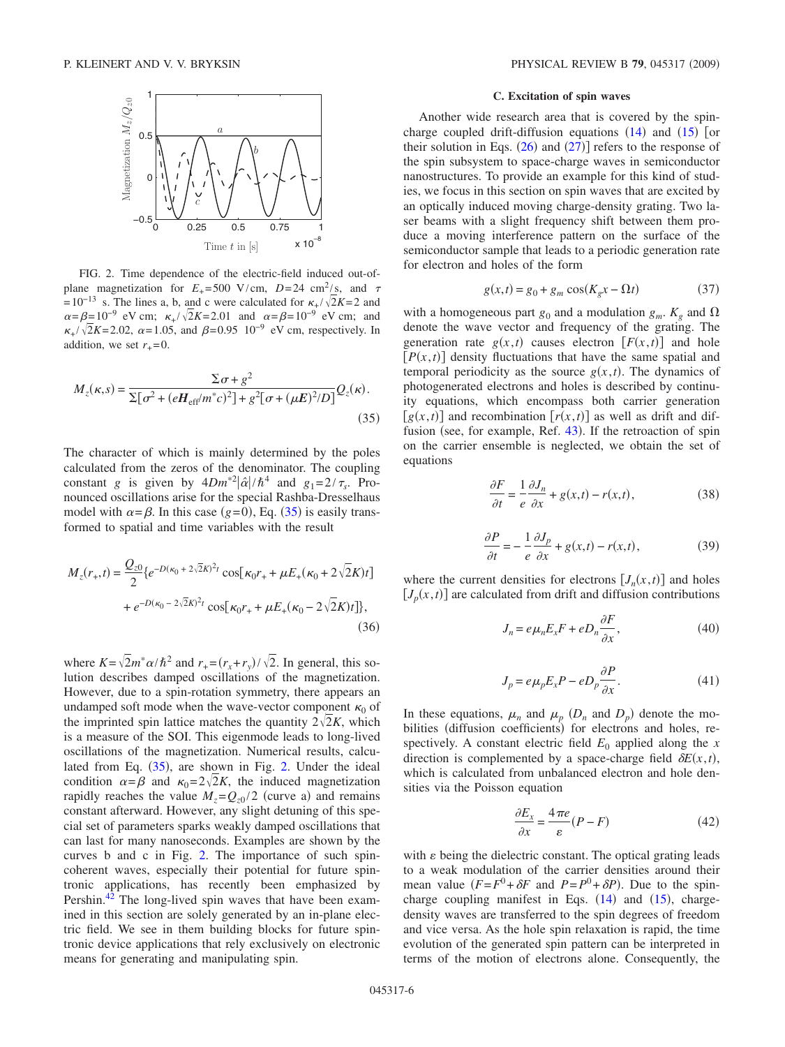<span id="page-5-2"></span>

FIG. 2. Time dependence of the electric-field induced out-ofplane magnetization for  $E_{+} = 500$  V/cm,  $D = 24$  cm<sup>2</sup>/s, and  $\tau$  $= 10^{-13}$  s. The lines a, b, and c were calculated for  $\kappa_+ / \sqrt{2}K = 2$  and  $\alpha = \beta = 10^{-9}$  eV cm;  $\kappa_+ / \sqrt{2K} = 2.01$  and  $\alpha = \beta = 10^{-9}$  eV cm; and  $\kappa_+ / \sqrt{2}K = 2.02$ ,  $\alpha = 1.05$ , and  $\beta = 0.95$  10<sup>-9</sup> eV cm, respectively. In addition, we set  $r_{+} = 0$ .

<span id="page-5-1"></span>
$$
M_z(\kappa, s) = \frac{\Sigma \sigma + g^2}{\Sigma [\sigma^2 + (eH_{\rm eff}/m^*c)^2] + g^2 [\sigma + (\mu E)^2/D]} Q_z(\kappa).
$$
\n(35)

The character of which is mainly determined by the poles calculated from the zeros of the denominator. The coupling constant *g* is given by  $4Dm^{*2}|\hat{\alpha}|/\hbar^4$  and  $g_1=2/\tau_s$ . Pronounced oscillations arise for the special Rashba-Dresselhaus model with  $\alpha = \beta$ . In this case (g=0), Eq. ([35](#page-5-1)) is easily transformed to spatial and time variables with the result

$$
M_z(r_+,t) = \frac{Q_{z0}}{2} \{e^{-D(\kappa_0 + 2\sqrt{2}K)^2 t} \cos[\kappa_0 r_+ + \mu E_+(\kappa_0 + 2\sqrt{2}K)t] + e^{-D(\kappa_0 - 2\sqrt{2}K)^2 t} \cos[\kappa_0 r_+ + \mu E_+(\kappa_0 - 2\sqrt{2}K)t]\},\tag{36}
$$

where  $K = \sqrt{2}m^* \alpha/\hbar^2$  and  $r_+ = (r_x + r_y)/\sqrt{2}$ . In general, this solution describes damped oscillations of the magnetization. However, due to a spin-rotation symmetry, there appears an undamped soft mode when the wave-vector component  $\kappa_0$  of the imprinted spin lattice matches the quantity  $2\sqrt{2}K$ , which is a measure of the SOI. This eigenmode leads to long-lived oscillations of the magnetization. Numerical results, calcu-lated from Eq. ([35](#page-5-1)), are shown in Fig. [2.](#page-5-2) Under the ideal condition  $\alpha = \beta$  and  $\kappa_0 = 2\sqrt{2K}$ , the induced magnetization rapidly reaches the value  $M_z = Q_{z0}/2$  (curve a) and remains constant afterward. However, any slight detuning of this special set of parameters sparks weakly damped oscillations that can last for many nanoseconds. Examples are shown by the curves b and c in Fig. [2.](#page-5-2) The importance of such spincoherent waves, especially their potential for future spintronic applications, has recently been emphasized by Pershin.<sup>42</sup> The long-lived spin waves that have been examined in this section are solely generated by an in-plane electric field. We see in them building blocks for future spintronic device applications that rely exclusively on electronic means for generating and manipulating spin.

## **C. Excitation of spin waves**

<span id="page-5-0"></span>Another wide research area that is covered by the spincharge coupled drift-diffusion equations  $(14)$  $(14)$  $(14)$  and  $(15)$  $(15)$  $(15)$  [or their solution in Eqs.  $(26)$  $(26)$  $(26)$  and  $(27)$  $(27)$  $(27)$ ] refers to the response of the spin subsystem to space-charge waves in semiconductor nanostructures. To provide an example for this kind of studies, we focus in this section on spin waves that are excited by an optically induced moving charge-density grating. Two laser beams with a slight frequency shift between them produce a moving interference pattern on the surface of the semiconductor sample that leads to a periodic generation rate for electron and holes of the form

$$
g(x,t) = g_0 + g_m \cos(K_g x - \Omega t) \tag{37}
$$

<span id="page-5-3"></span>with a homogeneous part  $g_0$  and a modulation  $g_m$ .  $K_g$  and  $\Omega$ denote the wave vector and frequency of the grating. The generation rate  $g(x,t)$  causes electron  $[F(x,t)]$  and hole  $[P(x,t)]$  density fluctuations that have the same spatial and temporal periodicity as the source  $g(x,t)$ . The dynamics of photogenerated electrons and holes is described by continuity equations, which encompass both carrier generation  $[g(x,t)]$  and recombination  $[r(x,t)]$  as well as drift and dif-fusion (see, for example, Ref. [43](#page-9-34)). If the retroaction of spin on the carrier ensemble is neglected, we obtain the set of equations

$$
\frac{\partial F}{\partial t} = \frac{1}{e} \frac{\partial J_n}{\partial x} + g(x, t) - r(x, t),\tag{38}
$$

$$
\frac{\partial P}{\partial t} = -\frac{1}{e} \frac{\partial J_p}{\partial x} + g(x, t) - r(x, t),\tag{39}
$$

where the current densities for electrons  $[J_n(x,t)]$  and holes  $[J_p(x, t)]$  are calculated from drift and diffusion contributions

$$
J_n = e\mu_n E_x F + eD_n \frac{\partial F}{\partial x},\qquad(40)
$$

$$
J_p = e\mu_p E_x P - eD_p \frac{\partial P}{\partial x}.
$$
\n(41)

In these equations,  $\mu_n$  and  $\mu_p$  ( $D_n$  and  $D_p$ ) denote the mobilities (diffusion coefficients) for electrons and holes, respectively. A constant electric field  $E_0$  applied along the *x* direction is complemented by a space-charge field  $\delta E(x, t)$ , which is calculated from unbalanced electron and hole densities via the Poisson equation

$$
\frac{\partial E_x}{\partial x} = \frac{4\pi e}{\varepsilon} (P - F) \tag{42}
$$

<span id="page-5-4"></span>with  $\varepsilon$  being the dielectric constant. The optical grating leads to a weak modulation of the carrier densities around their mean value  $(F = F^0 + \delta F$  and  $P = P^0 + \delta P$ ). Due to the spincharge coupling manifest in Eqs.  $(14)$  $(14)$  $(14)$  and  $(15)$  $(15)$  $(15)$ , chargedensity waves are transferred to the spin degrees of freedom and vice versa. As the hole spin relaxation is rapid, the time evolution of the generated spin pattern can be interpreted in terms of the motion of electrons alone. Consequently, the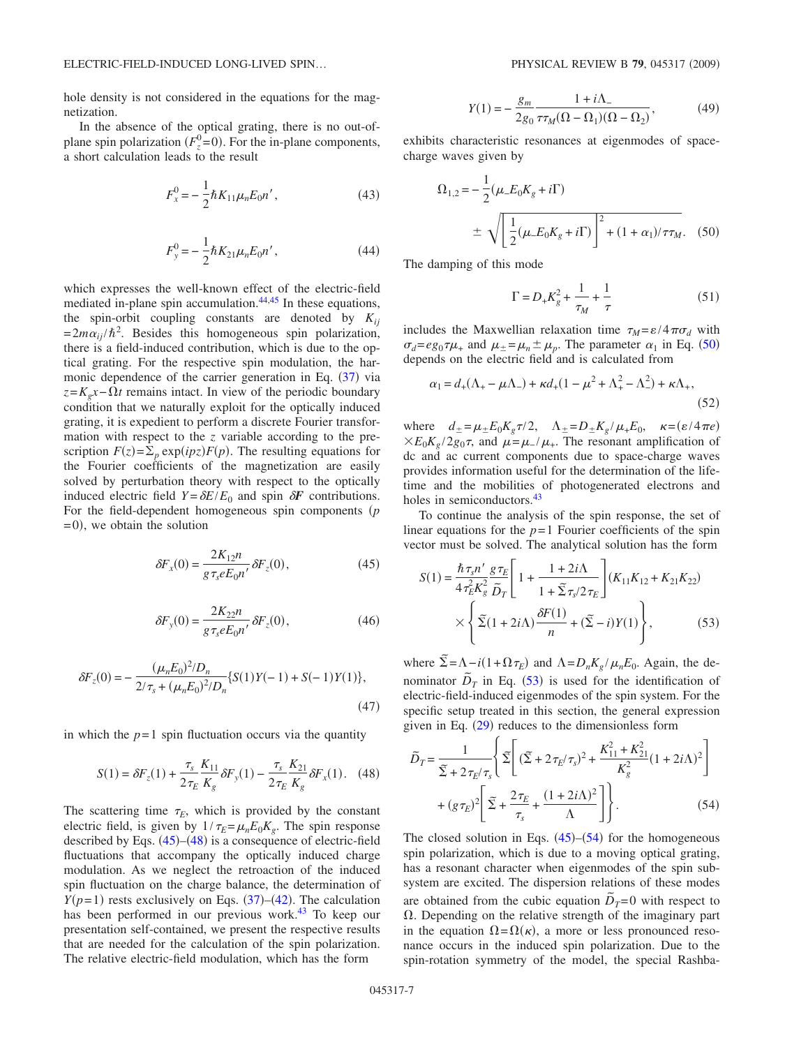hole density is not considered in the equations for the magnetization.

In the absence of the optical grating, there is no out-ofplane spin polarization  $(F_z^0=0)$ . For the in-plane components, a short calculation leads to the result

$$
F_x^0 = -\frac{1}{2}\hbar K_{11}\mu_n E_0 n',\tag{43}
$$

$$
F_y^0 = -\frac{1}{2}\hbar K_{21}\mu_n E_0 n',\qquad(44)
$$

which expresses the well-known effect of the electric-field mediated in-plane spin accumulation.<sup>44[,45](#page-9-36)</sup> In these equations, the spin-orbit coupling constants are denoted by  $K_{ii}$  $= 2m\alpha_{ij}/\hbar^2$ . Besides this homogeneous spin polarization, there is a field-induced contribution, which is due to the optical grating. For the respective spin modulation, the har-monic dependence of the carrier generation in Eq. ([37](#page-5-3)) via  $z = K_e x - \Omega t$  remains intact. In view of the periodic boundary condition that we naturally exploit for the optically induced grating, it is expedient to perform a discrete Fourier transformation with respect to the *z* variable according to the prescription  $F(z) = \sum_p \exp(ipz)F(p)$ . The resulting equations for the Fourier coefficients of the magnetization are easily solved by perturbation theory with respect to the optically induced electric field  $Y = \delta E/E_0$  and spin  $\delta F$  contributions. For the field-dependent homogeneous spin components (p  $= 0$ , we obtain the solution

<span id="page-6-0"></span>
$$
\delta F_x(0) = \frac{2K_{12}n}{g\,\tau_s e E_0 n'} \,\delta F_z(0),\tag{45}
$$

$$
\delta F_y(0) = \frac{2K_{22}n}{g\tau_s e E_0 n'} \delta F_z(0),\tag{46}
$$

$$
\delta F_z(0) = -\frac{(\mu_n E_0)^2 / D_n}{2/\tau_s + (\mu_n E_0)^2 / D_n} \{ S(1)Y(-1) + S(-1)Y(1) \},\tag{47}
$$

in which the  $p=1$  spin fluctuation occurs via the quantity

$$
S(1) = \delta F_z(1) + \frac{\tau_s}{2\tau_E} \frac{K_{11}}{K_g} \delta F_y(1) - \frac{\tau_s}{2\tau_E} \frac{K_{21}}{K_g} \delta F_x(1). \tag{48}
$$

<span id="page-6-1"></span>The scattering time  $\tau_E$ , which is provided by the constant electric field, is given by  $1/\tau_E = \mu_n E_0 K_g$ . The spin response described by Eqs.  $(45)$  $(45)$  $(45)$ – $(48)$  $(48)$  $(48)$  is a consequence of electric-field fluctuations that accompany the optically induced charge modulation. As we neglect the retroaction of the induced spin fluctuation on the charge balance, the determination of  $Y(p=1)$  rests exclusively on Eqs. ([37](#page-5-3))–([42](#page-5-4)). The calculation has been performed in our previous work.<sup>43</sup> To keep our presentation self-contained, we present the respective results that are needed for the calculation of the spin polarization. The relative electric-field modulation, which has the form

$$
Y(1) = -\frac{g_m}{2g_0} \frac{1 + i\Lambda_-}{\tau \tau_M (\Omega - \Omega_1)(\Omega - \Omega_2)},
$$
(49)

<span id="page-6-3"></span>exhibits characteristic resonances at eigenmodes of spacecharge waves given by

<span id="page-6-2"></span>
$$
\Omega_{1,2} = -\frac{1}{2} (\mu_- E_0 K_g + i\Gamma)
$$
  

$$
\pm \sqrt{\left[\frac{1}{2} (\mu_- E_0 K_g + i\Gamma)\right]^2 + (1 + \alpha_1)/\tau \tau_M}.
$$
 (50)

The damping of this mode

$$
\Gamma = D_{+} K_{g}^{2} + \frac{1}{\tau_{M}} + \frac{1}{\tau}
$$
\n(51)

includes the Maxwellian relaxation time  $\tau_M = \varepsilon/4\pi\sigma_d$  with  $\sigma_d = e g_0 \tau \mu_+$  and  $\mu_{\pm} = \mu_n \pm \mu_p$ . The parameter  $\alpha_1$  in Eq. ([50](#page-6-2)) depends on the electric field and is calculated from

$$
\alpha_1 = d_+(\Lambda_+ - \mu \Lambda_-) + \kappa d_+(1 - \mu^2 + \Lambda_+^2 - \Lambda_-^2) + \kappa \Lambda_+, \tag{52}
$$

where  $d_{\pm} = \mu_{\pm} E_0 K_g \tau / 2$ ,  $\Lambda_{\pm} = D_{\pm} K_g / \mu_{\pm} E_0$ ,  $\kappa = (\varepsilon / 4 \pi e)$  $\times E_0K_g/2g_0\tau$ , and  $\mu=\mu_-/\mu_+$ . The resonant amplification of dc and ac current components due to space-charge waves provides information useful for the determination of the lifetime and the mobilities of photogenerated electrons and holes in semiconductors.<sup>43</sup>

To continue the analysis of the spin response, the set of linear equations for the  $p=1$  Fourier coefficients of the spin vector must be solved. The analytical solution has the form

$$
S(1) = \frac{\hbar \tau_{s} n'}{4 \tau_{E}^{2} K_{g}^{2}} \frac{g \tau_{E}}{\tilde{D}_{T}} \left[ 1 + \frac{1 + 2i\Lambda}{1 + \tilde{\Sigma} \tau_{s}/2 \tau_{E}} \right] (K_{11} K_{12} + K_{21} K_{22})
$$
  
 
$$
\times \left\{ \tilde{\Sigma} (1 + 2i\Lambda) \frac{\delta F(1)}{n} + (\tilde{\Sigma} - i) Y(1) \right\},
$$
 (53)

where  $\tilde{\Sigma} = \Lambda - i(1 + \Omega \tau_E)$  and  $\Lambda = D_n K_g / \mu_n E_0$ . Again, the denominator  $\overline{D}_T$  in Eq. ([53](#page-6-3)) is used for the identification of electric-field-induced eigenmodes of the spin system. For the specific setup treated in this section, the general expression given in Eq.  $(29)$  $(29)$  $(29)$  reduces to the dimensionless form

<span id="page-6-4"></span>
$$
\tilde{D}_T = \frac{1}{\tilde{\Sigma} + 2\tau_E/\tau_s} \left\{ \tilde{\Sigma} \left[ (\tilde{\Sigma} + 2\tau_E/\tau_s)^2 + \frac{K_{11}^2 + K_{21}^2}{K_g^2} (1 + 2i\Lambda)^2 \right] + (g\tau_E)^2 \left[ \tilde{\Sigma} + \frac{2\tau_E}{\tau_s} + \frac{(1 + 2i\Lambda)^2}{\Lambda} \right] \right\}.
$$
\n(54)

The closed solution in Eqs.  $(45)$  $(45)$  $(45)$ – $(54)$  $(54)$  $(54)$  for the homogeneous spin polarization, which is due to a moving optical grating, has a resonant character when eigenmodes of the spin subsystem are excited. The dispersion relations of these modes are obtained from the cubic equation  $\tilde{D}_T = 0$  with respect to  $\Omega$ . Depending on the relative strength of the imaginary part in the equation  $\Omega = \Omega(\kappa)$ , a more or less pronounced resonance occurs in the induced spin polarization. Due to the spin-rotation symmetry of the model, the special Rashba-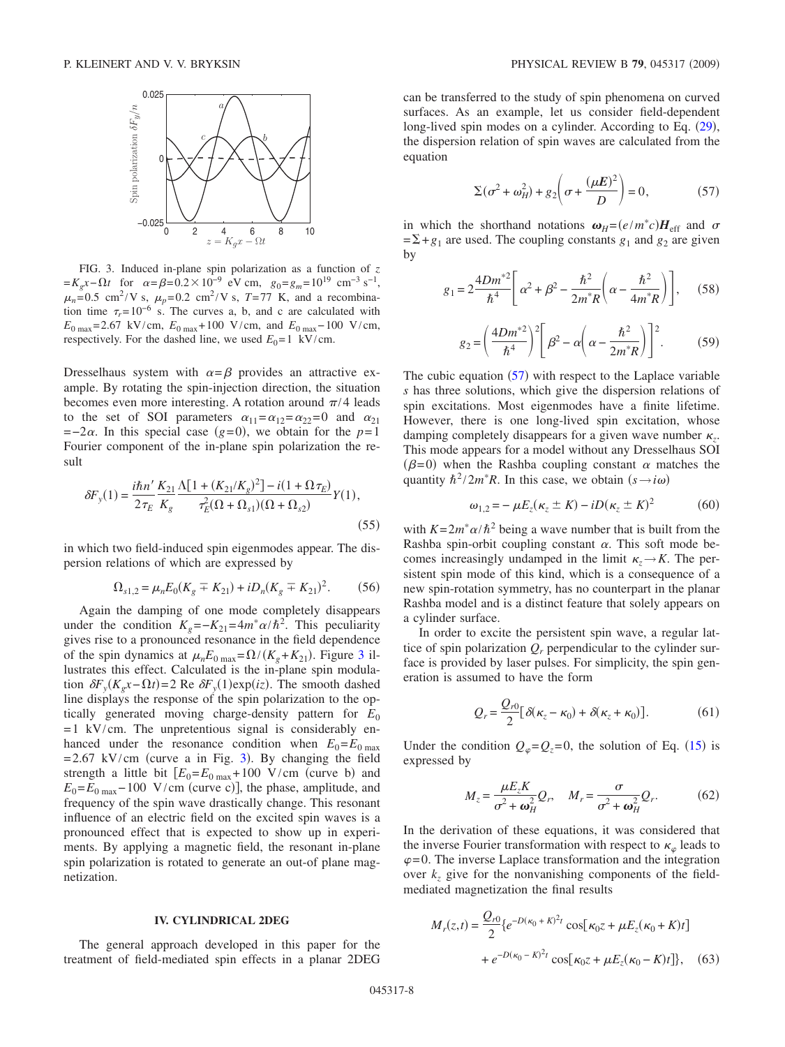<span id="page-7-0"></span>

FIG. 3. Induced in-plane spin polarization as a function of *z*  $=K_e x - \Omega t$  for  $\alpha = \beta = 0.2 \times 10^{-9}$  eV cm,  $g_0 = g_m = 10^{19}$  cm<sup>-3</sup> s<sup>-1</sup>,  $\mu_n = 0.5$  cm<sup>2</sup>/V s,  $\mu_p = 0.2$  cm<sup>2</sup>/V s, *T*=77 K, and a recombination time  $\tau_r = 10^{-6}$  s. The curves a, b, and c are calculated with *E*0 max= 2.67 kV/cm, *E*0 max+ 100 V/cm, and *E*0 max− 100 V/cm, respectively. For the dashed line, we used  $E_0 = 1$  kV/cm.

Dresselhaus system with  $\alpha = \beta$  provides an attractive example. By rotating the spin-injection direction, the situation becomes even more interesting. A rotation around  $\pi/4$  leads to the set of SOI parameters  $\alpha_{11} = \alpha_{12} = \alpha_{22} = 0$  and  $\alpha_{21}$  $=-2\alpha$ . In this special case ( $g=0$ ), we obtain for the  $p=1$ Fourier component of the in-plane spin polarization the result

$$
\delta F_y(1) = \frac{i\hbar n'}{2\tau_E} \frac{K_{21}}{K_g} \frac{\Lambda [1 + (K_{21}/K_g)^2] - i(1 + \Omega \tau_E)}{\tau_E^2 (\Omega + \Omega_{s1})(\Omega + \Omega_{s2})} Y(1),\tag{55}
$$

in which two field-induced spin eigenmodes appear. The dispersion relations of which are expressed by

$$
\Omega_{s1,2} = \mu_n E_0 (K_g \mp K_{21}) + i D_n (K_g \mp K_{21})^2. \tag{56}
$$

Again the damping of one mode completely disappears under the condition  $K_g = -K_{21} = 4m^* \alpha/\hbar^2$ . This peculiarity gives rise to a pronounced resonance in the field dependence of the spin dynamics at  $\mu_n E_0$   $_{\text{max}} = \Omega / (K_g + K_{21})$ . Figure [3](#page-7-0) illustrates this effect. Calculated is the in-plane spin modulation  $\delta F_y(K_g x - \Omega t) = 2$  Re  $\delta F_y(1) \exp(iz)$ . The smooth dashed line displays the response of the spin polarization to the optically generated moving charge-density pattern for *E*<sup>0</sup>  $= 1$  kV/cm. The unpretentious signal is considerably enhanced under the resonance condition when  $E_0 = E_{0 \text{ max}}$  $= 2.67$  kV/cm (curve a in Fig. [3](#page-7-0)). By changing the field strength a little bit  $[E_0 = E_{0 \text{ max}} + 100 \text{ V/cm}$  (curve b) and  $E_0 = E_{0 \text{ max}} - 100 \text{ V/cm (curve c)}$ , the phase, amplitude, and frequency of the spin wave drastically change. This resonant influence of an electric field on the excited spin waves is a pronounced effect that is expected to show up in experiments. By applying a magnetic field, the resonant in-plane spin polarization is rotated to generate an out-of plane magnetization.

# **IV. CYLINDRICAL 2DEG**

The general approach developed in this paper for the treatment of field-mediated spin effects in a planar 2DEG

can be transferred to the study of spin phenomena on curved surfaces. As an example, let us consider field-dependent long-lived spin modes on a cylinder. According to Eq. ([29](#page-3-2)), the dispersion relation of spin waves are calculated from the equation

$$
\Sigma(\sigma^2 + \omega_H^2) + g_2 \left(\sigma + \frac{(\mu E)^2}{D}\right) = 0,\tag{57}
$$

<span id="page-7-1"></span>in which the shorthand notations  $\omega_H = (e/m^*c)H_{\text{eff}}$  and  $\sigma$  $=\Sigma + g_1$  are used. The coupling constants  $g_1$  and  $g_2$  are given by

$$
g_1 = 2\frac{4Dm^{*2}}{\hbar^4} \left[ \alpha^2 + \beta^2 - \frac{\hbar^2}{2m^*R} \left( \alpha - \frac{\hbar^2}{4m^*R} \right) \right],
$$
 (58)

$$
g_2 = \left(\frac{4Dm^{*2}}{\hbar^4}\right)^2 \left[\beta^2 - \alpha \left(\alpha - \frac{\hbar^2}{2m^*R}\right)\right]^2.
$$
 (59)

The cubic equation  $(57)$  $(57)$  $(57)$  with respect to the Laplace variable *s* has three solutions, which give the dispersion relations of spin excitations. Most eigenmodes have a finite lifetime. However, there is one long-lived spin excitation, whose damping completely disappears for a given wave number  $\kappa_z$ . This mode appears for a model without any Dresselhaus SOI  $(\beta=0)$  when the Rashba coupling constant  $\alpha$  matches the quantity  $\hbar^2/2m^*R$ . In this case, we obtain  $(s \rightarrow i\omega)$ 

$$
\omega_{1,2} = -\mu E_z(\kappa_z \pm K) - iD(\kappa_z \pm K)^2 \tag{60}
$$

with  $K = 2m^* \alpha / \hbar^2$  being a wave number that is built from the Rashba spin-orbit coupling constant  $\alpha$ . This soft mode becomes increasingly undamped in the limit  $\kappa \rightarrow K$ . The persistent spin mode of this kind, which is a consequence of a new spin-rotation symmetry, has no counterpart in the planar Rashba model and is a distinct feature that solely appears on a cylinder surface.

In order to excite the persistent spin wave, a regular lattice of spin polarization  $Q_r$  perpendicular to the cylinder surface is provided by laser pulses. For simplicity, the spin generation is assumed to have the form

$$
Q_r = \frac{Q_{r0}}{2} [\delta(\kappa_z - \kappa_0) + \delta(\kappa_z + \kappa_0)].
$$
 (61)

Under the condition  $Q_{\varphi} = Q_{z} = 0$ , the solution of Eq. ([15](#page-2-4)) is expressed by

$$
M_z = \frac{\mu E_z K}{\sigma^2 + \omega_H^2} Q_r, \quad M_r = \frac{\sigma}{\sigma^2 + \omega_H^2} Q_r.
$$
 (62)

In the derivation of these equations, it was considered that the inverse Fourier transformation with respect to  $\kappa_{\varphi}$  leads to  $\varphi$ =0. The inverse Laplace transformation and the integration over  $k_z$  give for the nonvanishing components of the fieldmediated magnetization the final results

$$
M_r(z,t) = \frac{Q_{r0}}{2} \{ e^{-D(\kappa_0 + K)^2 t} \cos[\kappa_0 z + \mu E_z(\kappa_0 + K)t] + e^{-D(\kappa_0 - K)^2 t} \cos[\kappa_0 z + \mu E_z(\kappa_0 - K)t] \}, \quad (63)
$$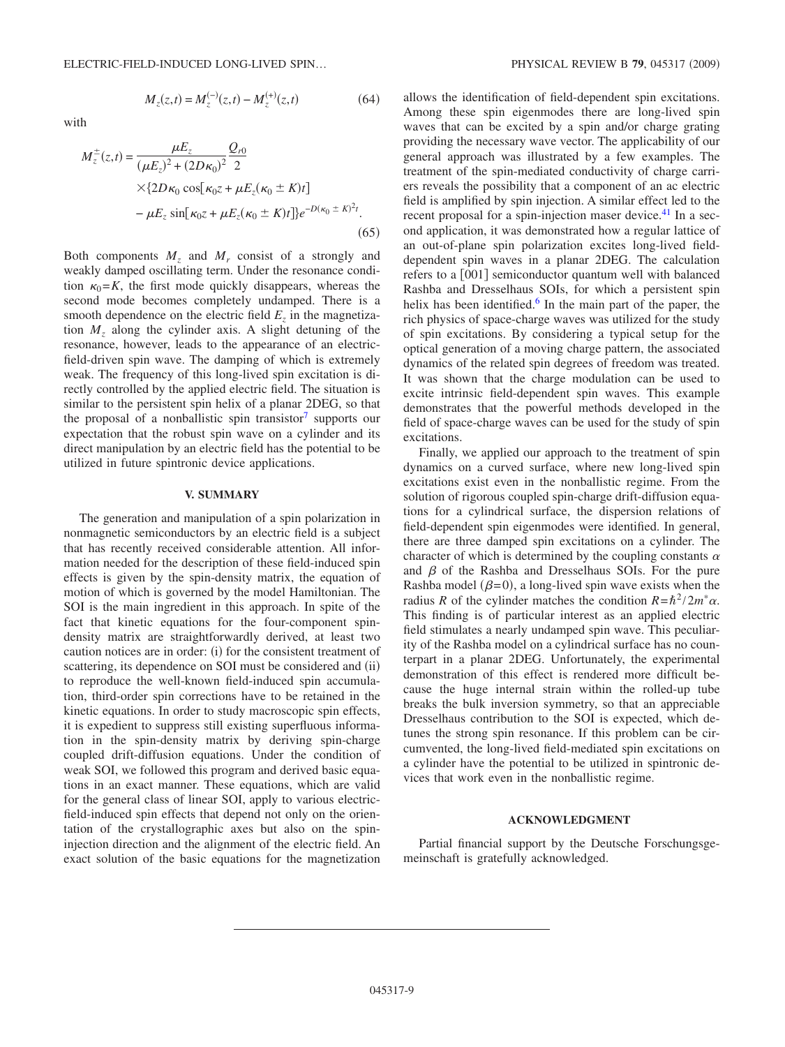with

$$
M_z(z,t) = M_z^{(-)}(z,t) - M_z^{(+)}(z,t)
$$
 (64)

$$
M_{z}^{\pm}(z,t) = \frac{\mu E_{z}}{(\mu E_{z})^{2} + (2D\kappa_{0})^{2}} \frac{Q_{r0}}{2}
$$
  
×{2D $\kappa_{0} \cos[\kappa_{0}z + \mu E_{z}(\kappa_{0} \pm K)t]$   
-  $\mu E_{z} \sin[\kappa_{0}z + \mu E_{z}(\kappa_{0} \pm K)t]e^{-D(\kappa_{0} \pm K)^{2}t}$ . (65)

Both components  $M_z$  and  $M_r$  consist of a strongly and weakly damped oscillating term. Under the resonance condition  $\kappa_0$ =*K*, the first mode quickly disappears, whereas the second mode becomes completely undamped. There is a smooth dependence on the electric field *Ez* in the magnetization *Mz* along the cylinder axis. A slight detuning of the resonance, however, leads to the appearance of an electricfield-driven spin wave. The damping of which is extremely weak. The frequency of this long-lived spin excitation is directly controlled by the applied electric field. The situation is similar to the persistent spin helix of a planar 2DEG, so that the proposal of a nonballistic spin transistor<sup>7</sup> supports our expectation that the robust spin wave on a cylinder and its direct manipulation by an electric field has the potential to be utilized in future spintronic device applications.

## **V. SUMMARY**

The generation and manipulation of a spin polarization in nonmagnetic semiconductors by an electric field is a subject that has recently received considerable attention. All information needed for the description of these field-induced spin effects is given by the spin-density matrix, the equation of motion of which is governed by the model Hamiltonian. The SOI is the main ingredient in this approach. In spite of the fact that kinetic equations for the four-component spindensity matrix are straightforwardly derived, at least two caution notices are in order: (i) for the consistent treatment of scattering, its dependence on SOI must be considered and (ii) to reproduce the well-known field-induced spin accumulation, third-order spin corrections have to be retained in the kinetic equations. In order to study macroscopic spin effects, it is expedient to suppress still existing superfluous information in the spin-density matrix by deriving spin-charge coupled drift-diffusion equations. Under the condition of weak SOI, we followed this program and derived basic equations in an exact manner. These equations, which are valid for the general class of linear SOI, apply to various electricfield-induced spin effects that depend not only on the orientation of the crystallographic axes but also on the spininjection direction and the alignment of the electric field. An exact solution of the basic equations for the magnetization allows the identification of field-dependent spin excitations. Among these spin eigenmodes there are long-lived spin waves that can be excited by a spin and/or charge grating providing the necessary wave vector. The applicability of our general approach was illustrated by a few examples. The treatment of the spin-mediated conductivity of charge carriers reveals the possibility that a component of an ac electric field is amplified by spin injection. A similar effect led to the recent proposal for a spin-injection maser device.<sup>41</sup> In a second application, it was demonstrated how a regular lattice of an out-of-plane spin polarization excites long-lived fielddependent spin waves in a planar 2DEG. The calculation refers to a  $[001]$  semiconductor quantum well with balanced Rashba and Dresselhaus SOIs, for which a persistent spin helix has been identified.<sup>6</sup> In the main part of the paper, the rich physics of space-charge waves was utilized for the study of spin excitations. By considering a typical setup for the optical generation of a moving charge pattern, the associated dynamics of the related spin degrees of freedom was treated. It was shown that the charge modulation can be used to excite intrinsic field-dependent spin waves. This example demonstrates that the powerful methods developed in the field of space-charge waves can be used for the study of spin excitations.

Finally, we applied our approach to the treatment of spin dynamics on a curved surface, where new long-lived spin excitations exist even in the nonballistic regime. From the solution of rigorous coupled spin-charge drift-diffusion equations for a cylindrical surface, the dispersion relations of field-dependent spin eigenmodes were identified. In general, there are three damped spin excitations on a cylinder. The character of which is determined by the coupling constants  $\alpha$ and  $\beta$  of the Rashba and Dresselhaus SOIs. For the pure Rashba model  $(\beta = 0)$ , a long-lived spin wave exists when the radius *R* of the cylinder matches the condition  $R = \hbar^2 / 2m^* \alpha$ . This finding is of particular interest as an applied electric field stimulates a nearly undamped spin wave. This peculiarity of the Rashba model on a cylindrical surface has no counterpart in a planar 2DEG. Unfortunately, the experimental demonstration of this effect is rendered more difficult because the huge internal strain within the rolled-up tube breaks the bulk inversion symmetry, so that an appreciable Dresselhaus contribution to the SOI is expected, which detunes the strong spin resonance. If this problem can be circumvented, the long-lived field-mediated spin excitations on a cylinder have the potential to be utilized in spintronic devices that work even in the nonballistic regime.

### **ACKNOWLEDGMENT**

Partial financial support by the Deutsche Forschungsgemeinschaft is gratefully acknowledged.